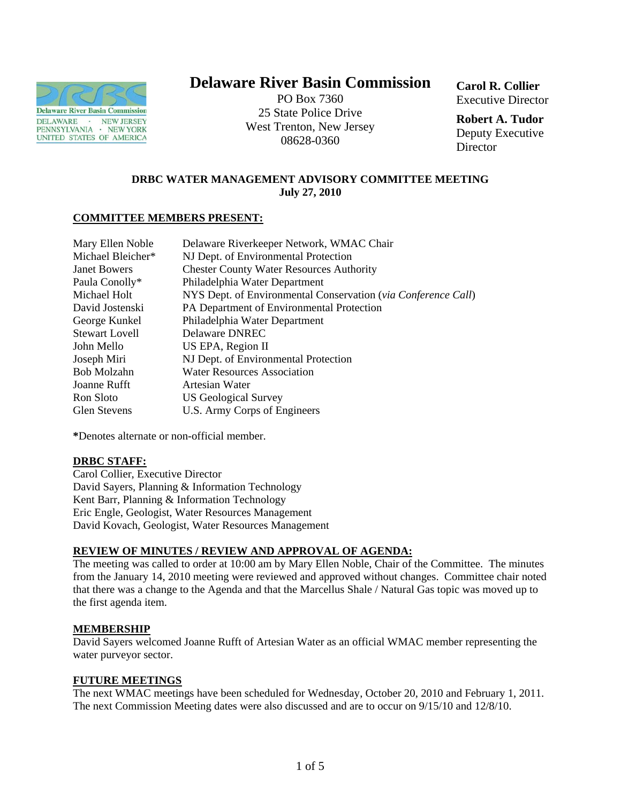

# **Delaware River Basin Commission**

PO Box 7360 25 State Police Drive West Trenton, New Jersey 08628-0360

**Carol R. Collier** Executive Director

**Robert A. Tudor**  Deputy Executive **Director** 

# **DRBC WATER MANAGEMENT ADVISORY COMMITTEE MEETING July 27, 2010**

## **COMMITTEE MEMBERS PRESENT:**

| Mary Ellen Noble      | Delaware Riverkeeper Network, WMAC Chair                      |
|-----------------------|---------------------------------------------------------------|
| Michael Bleicher*     | NJ Dept. of Environmental Protection                          |
| <b>Janet Bowers</b>   | <b>Chester County Water Resources Authority</b>               |
| Paula Conolly*        | Philadelphia Water Department                                 |
| Michael Holt          | NYS Dept. of Environmental Conservation (via Conference Call) |
| David Jostenski       | PA Department of Environmental Protection                     |
| George Kunkel         | Philadelphia Water Department                                 |
| <b>Stewart Lovell</b> | Delaware DNREC                                                |
| John Mello            | US EPA, Region II                                             |
| Joseph Miri           | NJ Dept. of Environmental Protection                          |
| Bob Molzahn           | <b>Water Resources Association</b>                            |
| Joanne Rufft          | Artesian Water                                                |
| Ron Sloto             | <b>US Geological Survey</b>                                   |
| Glen Stevens          | U.S. Army Corps of Engineers                                  |

**\***Denotes alternate or non-official member.

## **DRBC STAFF:**

Carol Collier, Executive Director David Sayers, Planning & Information Technology Kent Barr, Planning & Information Technology Eric Engle, Geologist, Water Resources Management David Kovach, Geologist, Water Resources Management

# **REVIEW OF MINUTES / REVIEW AND APPROVAL OF AGENDA:**

The meeting was called to order at 10:00 am by Mary Ellen Noble, Chair of the Committee. The minutes from the January 14, 2010 meeting were reviewed and approved without changes. Committee chair noted that there was a change to the Agenda and that the Marcellus Shale / Natural Gas topic was moved up to the first agenda item.

## **MEMBERSHIP**

David Sayers welcomed Joanne Rufft of Artesian Water as an official WMAC member representing the water purveyor sector.

## **FUTURE MEETINGS**

The next WMAC meetings have been scheduled for Wednesday, October 20, 2010 and February 1, 2011. The next Commission Meeting dates were also discussed and are to occur on 9/15/10 and 12/8/10.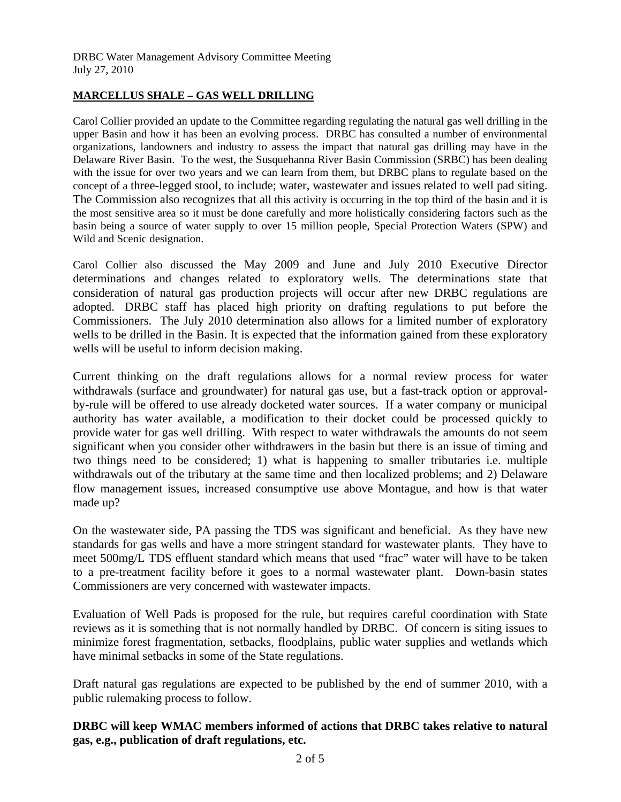# **MARCELLUS SHALE – GAS WELL DRILLING**

Carol Collier provided an update to the Committee regarding regulating the natural gas well drilling in the upper Basin and how it has been an evolving process. DRBC has consulted a number of environmental organizations, landowners and industry to assess the impact that natural gas drilling may have in the Delaware River Basin. To the west, the Susquehanna River Basin Commission (SRBC) has been dealing with the issue for over two years and we can learn from them, but DRBC plans to regulate based on the concept of a three-legged stool, to include; water, wastewater and issues related to well pad siting. The Commission also recognizes that all this activity is occurring in the top third of the basin and it is the most sensitive area so it must be done carefully and more holistically considering factors such as the basin being a source of water supply to over 15 million people, Special Protection Waters (SPW) and Wild and Scenic designation.

Carol Collier also discussed the May 2009 and June and July 2010 Executive Director determinations and changes related to exploratory wells. The determinations state that consideration of natural gas production projects will occur after new DRBC regulations are adopted. DRBC staff has placed high priority on drafting regulations to put before the Commissioners. The July 2010 determination also allows for a limited number of exploratory wells to be drilled in the Basin. It is expected that the information gained from these exploratory wells will be useful to inform decision making.

Current thinking on the draft regulations allows for a normal review process for water withdrawals (surface and groundwater) for natural gas use, but a fast-track option or approvalby-rule will be offered to use already docketed water sources. If a water company or municipal authority has water available, a modification to their docket could be processed quickly to provide water for gas well drilling. With respect to water withdrawals the amounts do not seem significant when you consider other withdrawers in the basin but there is an issue of timing and two things need to be considered; 1) what is happening to smaller tributaries i.e. multiple withdrawals out of the tributary at the same time and then localized problems; and 2) Delaware flow management issues, increased consumptive use above Montague, and how is that water made up?

On the wastewater side, PA passing the TDS was significant and beneficial. As they have new standards for gas wells and have a more stringent standard for wastewater plants. They have to meet 500mg/L TDS effluent standard which means that used "frac" water will have to be taken to a pre-treatment facility before it goes to a normal wastewater plant. Down-basin states Commissioners are very concerned with wastewater impacts.

Evaluation of Well Pads is proposed for the rule, but requires careful coordination with State reviews as it is something that is not normally handled by DRBC. Of concern is siting issues to minimize forest fragmentation, setbacks, floodplains, public water supplies and wetlands which have minimal setbacks in some of the State regulations.

Draft natural gas regulations are expected to be published by the end of summer 2010, with a public rulemaking process to follow.

**DRBC will keep WMAC members informed of actions that DRBC takes relative to natural gas, e.g., publication of draft regulations, etc.**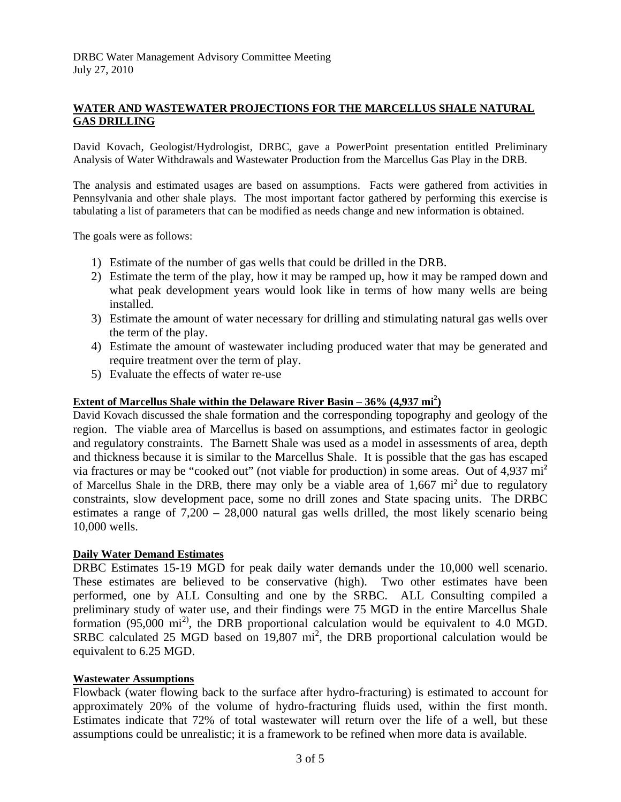# **WATER AND WASTEWATER PROJECTIONS FOR THE MARCELLUS SHALE NATURAL GAS DRILLING**

David Kovach, Geologist/Hydrologist, DRBC, gave a PowerPoint presentation entitled Preliminary Analysis of Water Withdrawals and Wastewater Production from the Marcellus Gas Play in the DRB.

The analysis and estimated usages are based on assumptions. Facts were gathered from activities in Pennsylvania and other shale plays. The most important factor gathered by performing this exercise is tabulating a list of parameters that can be modified as needs change and new information is obtained.

The goals were as follows:

- 1) Estimate of the number of gas wells that could be drilled in the DRB.
- 2) Estimate the term of the play, how it may be ramped up, how it may be ramped down and what peak development years would look like in terms of how many wells are being installed.
- 3) Estimate the amount of water necessary for drilling and stimulating natural gas wells over the term of the play.
- 4) Estimate the amount of wastewater including produced water that may be generated and require treatment over the term of play.
- 5) Evaluate the effects of water re-use

## **Extent of Marcellus Shale within the Delaware River Basin – 36% (4,937 mi<sup>2</sup>)**

David Kovach discussed the shale formation and the corresponding topography and geology of the region. The viable area of Marcellus is based on assumptions, and estimates factor in geologic and regulatory constraints. The Barnett Shale was used as a model in assessments of area, depth and thickness because it is similar to the Marcellus Shale. It is possible that the gas has escaped via fractures or may be "cooked out" (not viable for production) in some areas. Out of 4,937 mi**<sup>2</sup>** of Marcellus Shale in the DRB, there may only be a viable area of  $1,667 \text{ mi}^2$  due to regulatory constraints, slow development pace, some no drill zones and State spacing units. The DRBC estimates a range of  $7,200 - 28,000$  natural gas wells drilled, the most likely scenario being 10,000 wells.

## **Daily Water Demand Estimates**

DRBC Estimates 15-19 MGD for peak daily water demands under the 10,000 well scenario. These estimates are believed to be conservative (high). Two other estimates have been performed, one by ALL Consulting and one by the SRBC. ALL Consulting compiled a preliminary study of water use, and their findings were 75 MGD in the entire Marcellus Shale formation (95,000 mi2), the DRB proportional calculation would be equivalent to 4.0 MGD. SRBC calculated 25 MGD based on  $19,807$  mi<sup>2</sup>, the DRB proportional calculation would be equivalent to 6.25 MGD.

## **Wastewater Assumptions**

Flowback (water flowing back to the surface after hydro-fracturing) is estimated to account for approximately 20% of the volume of hydro-fracturing fluids used, within the first month. Estimates indicate that 72% of total wastewater will return over the life of a well, but these assumptions could be unrealistic; it is a framework to be refined when more data is available.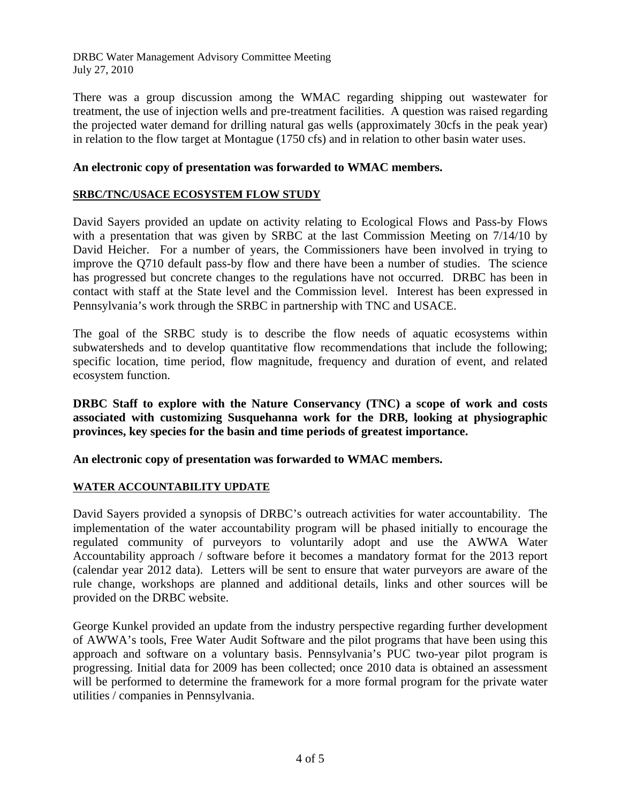DRBC Water Management Advisory Committee Meeting July 27, 2010

There was a group discussion among the WMAC regarding shipping out wastewater for treatment, the use of injection wells and pre-treatment facilities. A question was raised regarding the projected water demand for drilling natural gas wells (approximately 30cfs in the peak year) in relation to the flow target at Montague (1750 cfs) and in relation to other basin water uses.

# **An electronic copy of presentation was forwarded to WMAC members.**

# **SRBC/TNC/USACE ECOSYSTEM FLOW STUDY**

David Sayers provided an update on activity relating to Ecological Flows and Pass-by Flows with a presentation that was given by SRBC at the last Commission Meeting on 7/14/10 by David Heicher. For a number of years, the Commissioners have been involved in trying to improve the Q710 default pass-by flow and there have been a number of studies. The science has progressed but concrete changes to the regulations have not occurred. DRBC has been in contact with staff at the State level and the Commission level. Interest has been expressed in Pennsylvania's work through the SRBC in partnership with TNC and USACE.

The goal of the SRBC study is to describe the flow needs of aquatic ecosystems within subwatersheds and to develop quantitative flow recommendations that include the following; specific location, time period, flow magnitude, frequency and duration of event, and related ecosystem function.

**DRBC Staff to explore with the Nature Conservancy (TNC) a scope of work and costs associated with customizing Susquehanna work for the DRB, looking at physiographic provinces, key species for the basin and time periods of greatest importance.** 

**An electronic copy of presentation was forwarded to WMAC members.** 

# **WATER ACCOUNTABILITY UPDATE**

David Sayers provided a synopsis of DRBC's outreach activities for water accountability. The implementation of the water accountability program will be phased initially to encourage the regulated community of purveyors to voluntarily adopt and use the AWWA Water Accountability approach / software before it becomes a mandatory format for the 2013 report (calendar year 2012 data). Letters will be sent to ensure that water purveyors are aware of the rule change, workshops are planned and additional details, links and other sources will be provided on the DRBC website.

George Kunkel provided an update from the industry perspective regarding further development of AWWA's tools, Free Water Audit Software and the pilot programs that have been using this approach and software on a voluntary basis. Pennsylvania's PUC two-year pilot program is progressing. Initial data for 2009 has been collected; once 2010 data is obtained an assessment will be performed to determine the framework for a more formal program for the private water utilities / companies in Pennsylvania.